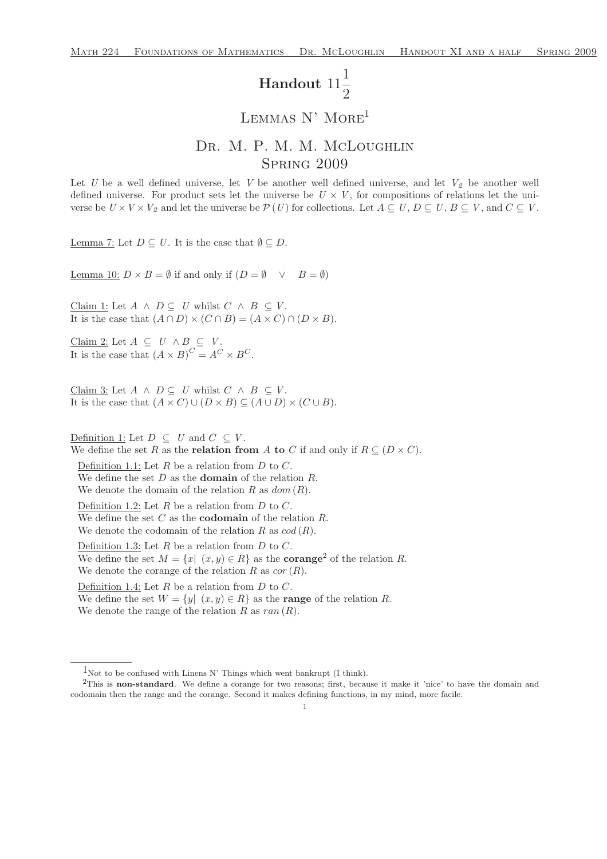## Handout 11 1  $\overline{2}$

## LEMMAS N' MORE<sup>1</sup>

## DR. M. P. M. M. McLoughlin Spring 2009

Let U be a well defined universe, let V be another well defined universe, and let  $V_2$  be another well defined universe. For product sets let the universe be  $U \times V$ , for compositions of relations let the universe be  $U \times V \times V_2$  and let the universe be  $\mathcal{P}(U)$  for collections. Let  $A \subseteq U, D \subseteq U, B \subseteq V$ , and  $C \subseteq V$ .

Lemma 7: Let  $D \subseteq U$ . It is the case that  $\emptyset \subseteq D$ .

Lemma 10:  $D \times B = \emptyset$  if and only if  $(D = \emptyset \lor B = \emptyset)$ 

Claim 1: Let  $A \wedge D \subseteq U$  whilst  $C \wedge B \subseteq V$ . It is the case that  $(A \cap D) \times (C \cap B) = (A \times C) \cap (D \times B)$ .

Claim 2: Let  $A \subseteq U \land B \subseteq V$ . It is the case that  $(A \times B)^C = A^C \times B^C$ .

Claim 3: Let  $A \wedge D \subseteq U$  whilst  $C \wedge B \subseteq V$ . It is the case that  $(A \times C) \cup (D \times B) \subseteq (A \cup D) \times (C \cup B)$ .

Definition 1: Let  $D \subseteq U$  and  $C \subseteq V$ . We define the set R as the **relation from** A to C if and only if  $R \subseteq (D \times C)$ . Definition 1.1: Let  $R$  be a relation from  $D$  to  $C$ . We define the set  $D$  as the **domain** of the relation  $R$ . We denote the domain of the relation R as  $dom(R)$ . Definition 1.2: Let  $R$  be a relation from  $D$  to  $C$ . We define the set  $C$  as the **codomain** of the relation  $R$ . We denote the codomain of the relation R as  $cod(R)$ . Definition 1.3: Let  $R$  be a relation from  $D$  to  $C$ . We define the set  $M = \{x | (x, y) \in R\}$  as the **corange**<sup>2</sup> of the relation R. We denote the corange of the relation R as  $cor(R)$ . Definition 1.4: Let  $R$  be a relation from  $D$  to  $C$ . We define the set  $W = \{y | (x, y) \in R\}$  as the **range** of the relation R. We denote the range of the relation R as  $ran(R)$ .

 $1_{\text{Not to be confused with Linens N' Things which went bankruptcy (I think).}$ 

<sup>&</sup>lt;sup>2</sup>This is non-standard. We define a corange for two reasons; first, because it make it 'nice' to have the domain and codomain then the range and the corange. Second it makes defining functions, in my mind, more facile.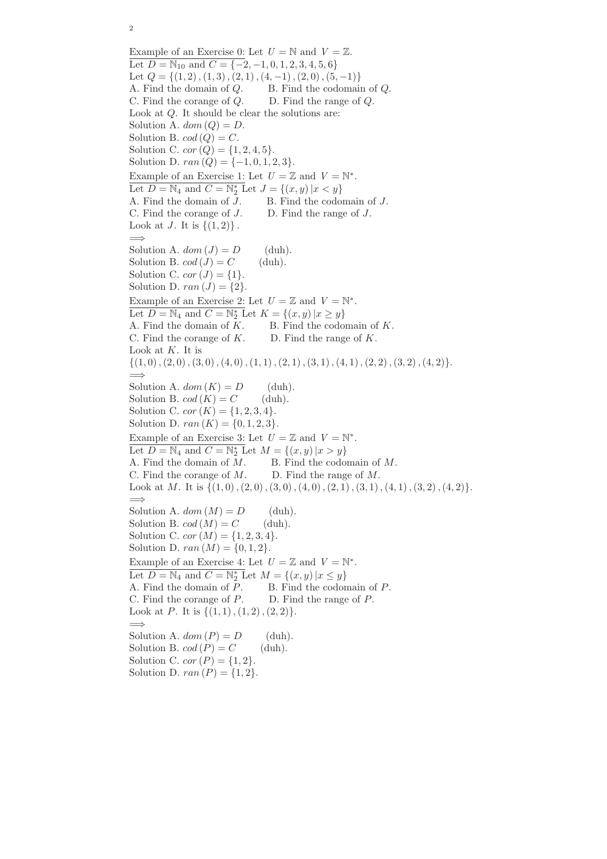Example of an Exercise 0: Let  $U = N$  and  $V = \mathbb{Z}$ . Let  $D = N_{10}$  and  $C = \{-2, -1, 0, 1, 2, 3, 4, 5, 6\}$ Let  $Q = \{(1, 2), (1, 3), (2, 1), (4, -1), (2, 0), (5, -1)\}\$ A. Find the domain of Q. B. Find the codomain of Q. C. Find the corange of Q. D. Find the range of Q. Look at Q. It should be clear the solutions are: Solution A.  $dom(Q) = D$ . Solution B.  $cod(Q) = C$ . Solution C.  $cor(Q) = \{1, 2, 4, 5\}.$ Solution D.  $ran (Q) = \{-1, 0, 1, 2, 3\}.$ Example of an Exercise 1: Let  $U = \mathbb{Z}$  and  $V = \mathbb{N}^*$ . Let  $D = \mathbb{N}_4$  and  $C = \mathbb{N}_2^*$  Let  $J = \{(x, y) | x < y\}$ A. Find the domain of J. B. Find the codomain of J. C. Find the corange of J. D. Find the range of J. Look at *J*. It is  $\{(1,2)\}\.$ =⇒ Solution A.  $dom (J) = D$  (duh). Solution B.  $cod(J) = C$  (duh). Solution C.  $cor(J) = \{1\}.$ Solution D.  $ran (J) = \{2\}.$ Example of an Exercise 2: Let  $U = \mathbb{Z}$  and  $V = \mathbb{N}^*$ . Let  $D = \mathbb{N}_4$  and  $C = \mathbb{N}_2^*$  Let  $K = \{(x, y) | x \ge y\}$ A. Find the domain of  $K$ . B. Find the codomain of  $K$ . C. Find the corange of  $K$ . D. Find the range of  $K$ . Look at  $K$ . It is  $\{(1,0), (2,0), (3,0), (4,0), (1,1), (2,1), (3,1), (4, 1), (2, 2), (3, 2), (4, 2)\}.$  $\implies$ Solution A.  $dom(K) = D$  (duh). Solution B.  $cod(K) = C$  (duh). Solution C.  $cor(K) = \{1, 2, 3, 4\}.$ Solution D.  $ran(K) = \{0, 1, 2, 3\}.$ Example of an Exercise 3: Let  $U = \mathbb{Z}$  and  $V = \mathbb{N}^*$ . Let  $D = \mathbb{N}_4$  and  $C = \mathbb{N}_2^*$  Let  $M = \{(x, y) | x > y\}$ A. Find the domain of M. B. Find the codomain of M. C. Find the corange of  $M$ . D. Find the range of  $M$ . Look at M. It is  $\{(1,0), (2,0), (3,0), (4,0), (2, 1), (3, 1), (4, 1), (3, 2), (4, 2)\}.$ =⇒ Solution A.  $dom(M) = D$  (duh). Solution B.  $cod(M) = C$  (duh). Solution C.  $cor(M) = \{1, 2, 3, 4\}.$ Solution D.  $ran (M) = \{0, 1, 2\}.$ Example of an Exercise 4: Let  $U = \mathbb{Z}$  and  $V = \mathbb{N}^*$ . Let  $D = \mathbb{N}_4$  and  $C = \mathbb{N}_2^*$  Let  $M = \{(x, y) | x \leq y\}$ A. Find the domain of P. B. Find the codomain of P. C. Find the corange of P. D. Find the range of P. Look at P. It is  $\{(1, 1), (1, 2), (2, 2)\}.$ =⇒ Solution A.  $dom(P) = D$  (duh). Solution B.  $cod(P) = C$  (duh). Solution C.  $cor(P) = \{1, 2\}.$ Solution D.  $ran(P) = \{1, 2\}.$ 

2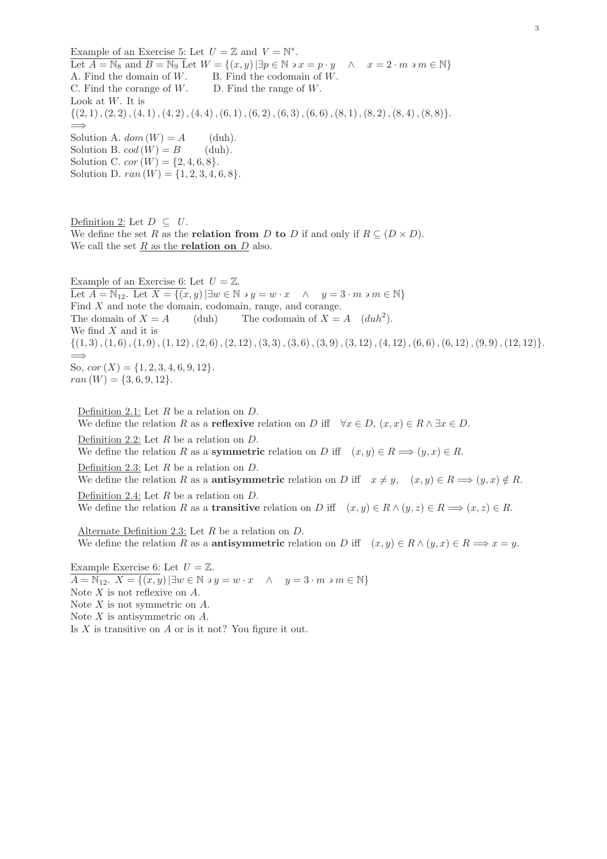Example of an Exercise 5: Let  $U = \mathbb{Z}$  and  $V = \mathbb{N}^*$ . Let  $A = \mathbb{N}_8$  and  $B = \mathbb{N}_9$  Let  $W = \{(x, y) | \exists p \in \mathbb{N} \text{ is } x = p \cdot y \land x = 2 \cdot m \text{ is } m \in \mathbb{N}\}\$ A. Find the domain of  $W$ . B. Find the codomain of  $W$ . C. Find the corange of  $W$ . D. Find the range of  $W$ . Look at  $W$ . It is  $\{(2, 1), (2, 2), (4, 1), (4, 2), (4, 4), (6, 1), (6, 2), (6, 3), (6, 6), (8, 1), (8, 2), (8, 4), (8, 8)\}.$ =⇒ Solution A.  $dom(W) = A$  (duh). Solution B.  $cod(W) = B$  (duh). Solution C.  $cor(W) = \{2, 4, 6, 8\}.$ Solution D.  $ran(W) = \{1, 2, 3, 4, 6, 8\}.$ 

Definition 2: Let  $D \subseteq U$ . We define the set R as the **relation from** D to D if and only if  $R \subseteq (D \times D)$ . We call the set  $R$  as the **relation on**  $D$  also.

Example of an Exercise 6: Let  $U = \mathbb{Z}$ . Let  $A = \mathbb{N}_{12}$ . Let  $X = \{(x, y) | \exists w \in \mathbb{N} \ni y = w \cdot x \land y = 3 \cdot m \ni m \in \mathbb{N} \}$ Find X and note the domain, codomain, range, and corange. The domain of  $X = A$  (duh) The codomain of  $X = A$  (duh<sup>2</sup>). We find  $X$  and it is  $\{(1,3),(1,6),(1,9),(1,12),(2,6),(2,12),(3,3),(3,6),(3,9),(3,12),(4,12),(6,6),(6,12),(9,9),(12,12)\}.$ =⇒ So,  $cor(X) = \{1, 2, 3, 4, 6, 9, 12\}.$  $ran(W) = \{3, 6, 9, 12\}.$ 

Definition 2.1: Let R be a relation on D. We define the relation R as a **reflexive** relation on D iff  $\forall x \in D$ ,  $(x, x) \in R \land \exists x \in D$ . Definition 2.2: Let  $R$  be a relation on  $D$ . We define the relation R as a **symmetric** relation on D iff  $(x, y) \in R \implies (y, x) \in R$ . Definition 2.3: Let  $R$  be a relation on  $D$ . We define the relation R as a **antisymmetric** relation on D iff  $x \neq y$ ,  $(x, y) \in R \implies (y, x) \notin R$ . Definition 2.4: Let R be a relation on D. We define the relation R as a **transitive** relation on D iff  $(x,y) \in R \wedge (y,z) \in R \implies (x,z) \in R$ .

Alternate Definition 2.3: Let R be a relation on D. We define the relation R as a **antisymmetric** relation on D iff  $(x,y) \in R \wedge (y,x) \in R \Longrightarrow x = y$ .

Example Exercise 6: Let  $U = \mathbb{Z}$ .  $A = \mathbb{N}_{12}$ ,  $X = \{(x, y) | \exists w \in \mathbb{N} \ni y = w \cdot x \land y = 3 \cdot m \ni m \in \mathbb{N} \}$ Note  $X$  is not reflexive on  $A$ . Note  $X$  is not symmetric on  $A$ . Note X is antisymmetric on A. Is  $X$  is transitive on  $A$  or is it not? You figure it out.